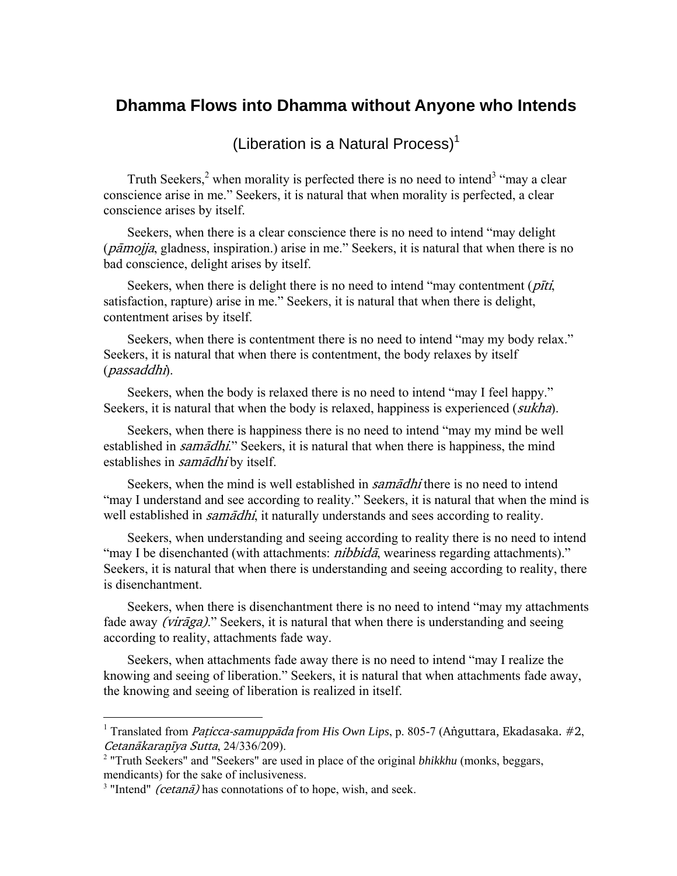## **Dhamma Flows into Dhamma without Anyone who Intends**

(Liberation is a Natural Process)<sup>1</sup>

Truth Seekers,<sup>2</sup> when morality is perfected there is no need to intend<sup>3</sup> "may a clear" conscience arise in me." Seekers, it is natural that when morality is perfected, a clear conscience arises by itself.

Seekers, when there is a clear conscience there is no need to intend "may delight  $(p\bar{a}mojja,$  gladness, inspiration.) arise in me." Seekers, it is natural that when there is no bad conscience, delight arises by itself.

Seekers, when there is delight there is no need to intend "may contentment  $(\rho \bar{t}t)$ , satisfaction, rapture) arise in me." Seekers, it is natural that when there is delight, contentment arises by itself.

Seekers, when there is contentment there is no need to intend "may my body relax." Seekers, it is natural that when there is contentment, the body relaxes by itself (passaddhi).

Seekers, when the body is relaxed there is no need to intend "may I feel happy." Seekers, it is natural that when the body is relaxed, happiness is experienced *(sukha)*.

Seekers, when there is happiness there is no need to intend "may my mind be well established in *samādhi*." Seekers, it is natural that when there is happiness, the mind establishes in *samādhi* by itself.

Seekers, when the mind is well established in *samadhi* there is no need to intend "may I understand and see according to reality." Seekers, it is natural that when the mind is well established in *samādhi*, it naturally understands and sees according to reality.

Seekers, when understanding and seeing according to reality there is no need to intend "may I be disenchanted (with attachments: *nibbida*, weariness regarding attachments)." Seekers, it is natural that when there is understanding and seeing according to reality, there is disenchantment.

Seekers, when there is disenchantment there is no need to intend "may my attachments fade away *(virāga)*." Seekers, it is natural that when there is understanding and seeing according to reality, attachments fade way.

Seekers, when attachments fade away there is no need to intend "may I realize the knowing and seeing of liberation." Seekers, it is natural that when attachments fade away, the knowing and seeing of liberation is realized in itself.

 $\overline{a}$ 

<sup>&</sup>lt;sup>1</sup> Translated from *Paṭicca-samuppāda from His Own Lips*, p. 805-7 (Annguttara, Ekadasaka. #2, Cetanākaranīya Sutta, 24/336/209).

<sup>&</sup>lt;sup>2</sup> "Truth Seekers" and "Seekers" are used in place of the original *bhikkhu* (monks, beggars, mendicants) for the sake of inclusiveness.

<sup>&</sup>lt;sup>3</sup> "Intend" *(cetanā)* has connotations of to hope, wish, and seek.